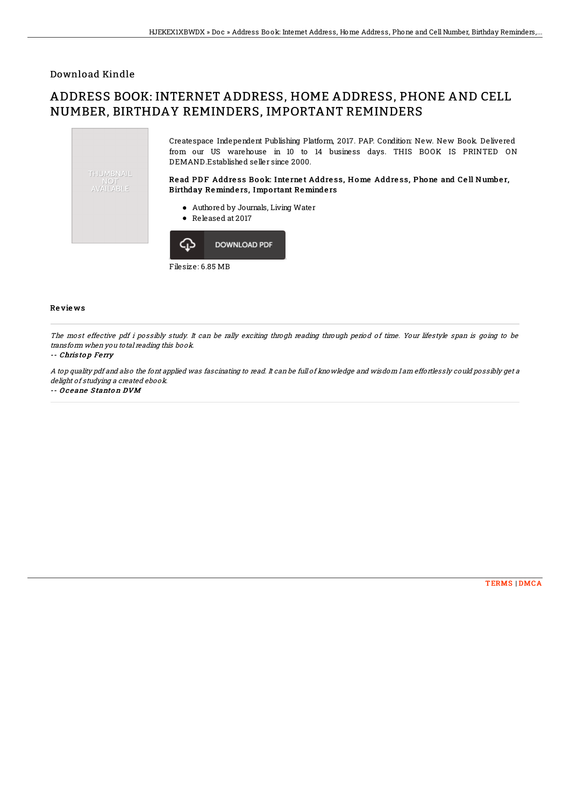## Download Kindle

# ADDRESS BOOK: INTERNET ADDRESS, HOME ADDRESS, PHONE AND CELL NUMBER, BIRTHDAY REMINDERS, IMPORTANT REMINDERS



Filesize: 6.85 MB

### Re vie ws

The most effective pdf i possibly study. It can be rally exciting throgh reading through period of time. Your lifestyle span is going to be transform when you total reading this book.

#### -- Chris to p Fe rry

A top quality pdf and also the font applied was fascinating to read. It can be full of knowledge and wisdom I am effortlessly could possibly get <sup>a</sup> delight of studying a created ebook.

-- Oceane Stanton DVM